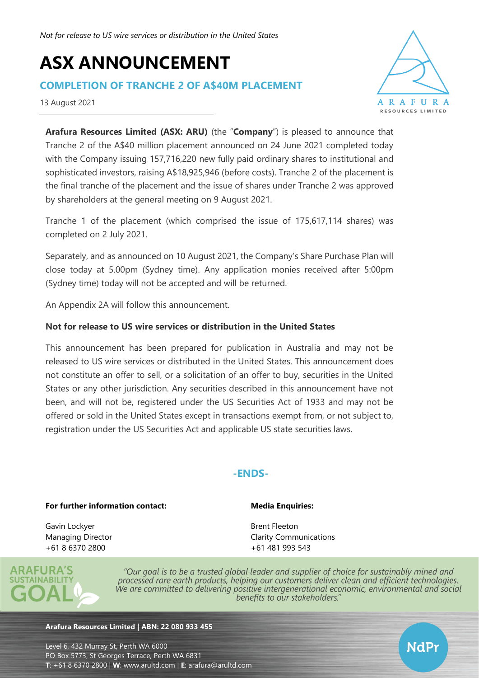# **ASX ANNOUNCEMENT**

## **COMPLETION OF TRANCHE 2 OF A\$40M PLACEMENT**

13 August 2021



NdPr

**Arafura Resources Limited (ASX: ARU)** (the "**Company**") is pleased to announce that Tranche 2 of the A\$40 million placement announced on 24 June 2021 completed today with the Company issuing 157,716,220 new fully paid ordinary shares to institutional and sophisticated investors, raising A\$18,925,946 (before costs). Tranche 2 of the placement is the final tranche of the placement and the issue of shares under Tranche 2 was approved by shareholders at the general meeting on 9 August 2021.

Tranche 1 of the placement (which comprised the issue of 175,617,114 shares) was completed on 2 July 2021.

Separately, and as announced on 10 August 2021, the Company's Share Purchase Plan will close today at 5.00pm (Sydney time). Any application monies received after 5:00pm (Sydney time) today will not be accepted and will be returned.

An Appendix 2A will follow this announcement.

### **Not for release to US wire services or distribution in the United States**

This announcement has been prepared for publication in Australia and may not be released to US wire services or distributed in the United States. This announcement does not constitute an offer to sell, or a solicitation of an offer to buy, securities in the United States or any other jurisdiction. Any securities described in this announcement have not been, and will not be, registered under the US Securities Act of 1933 and may not be offered or sold in the United States except in transactions exempt from, or not subject to, registration under the US Securities Act and applicable US state securities laws.

## **-ENDS-**

#### **For further information contact:**

#### **Media Enquiries:**

Brent Fleeton

Gavin Lockyer Managing Director +61 8 6370 2800



"Our goal is to be a trusted global leader and supplier of choice for sustainably mined and processed rare earth products, helping our customers deliver clean and efficient technologies. We are committed to delivering positive intergenerational economic, environmental and social benefits to our stakeholders."

Clarity Communications +61 481 993 543

#### **Arafura Resources Limited | ABN: 22 080 933 455**

Level 6, 432 Murray St, Perth WA 6000 PO Box 5773, St Georges Terrace, Perth WA 6831 **T**: +61 8 6370 2800 | **W**: [www.arultd.com](http://www.arultd.com/) | **E**: [arafura@arultd.com](mailto:arafura@arultd.com)